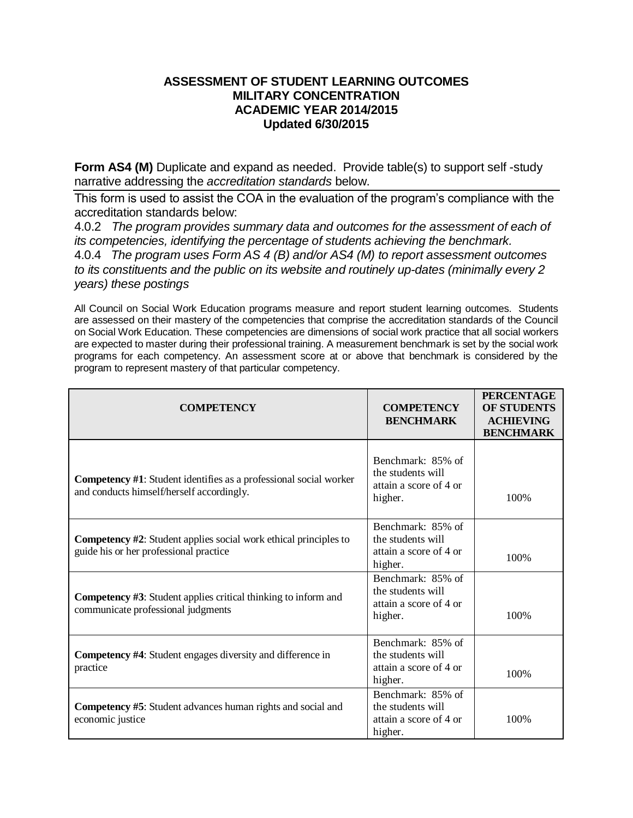## **ASSESSMENT OF STUDENT LEARNING OUTCOMES MILITARY CONCENTRATION ACADEMIC YEAR 2014/2015 Updated 6/30/2015**

**Form AS4 (M)** Duplicate and expand as needed. Provide table(s) to support self-study narrative addressing the *accreditation standards* below.

This form is used to assist the COA in the evaluation of the program's compliance with the accreditation standards below:

4.0.2 *The program provides summary data and outcomes for the assessment of each of its competencies, identifying the percentage of students achieving the benchmark.* 4.0.4 *The program uses Form AS 4 (B) and/or AS4 (M) to report assessment outcomes to its constituents and the public on its website and routinely up-dates (minimally every 2 years) these postings*

All Council on Social Work Education programs measure and report student learning outcomes. Students are assessed on their mastery of the competencies that comprise the accreditation standards of the Council on Social Work Education. These competencies are dimensions of social work practice that all social workers are expected to master during their professional training. A measurement benchmark is set by the social work programs for each competency. An assessment score at or above that benchmark is considered by the program to represent mastery of that particular competency.

| <b>COMPETENCY</b>                                                                                                     | <b>COMPETENCY</b><br><b>BENCHMARK</b>                                       | <b>PERCENTAGE</b><br><b>OF STUDENTS</b><br><b>ACHIEVING</b><br><b>BENCHMARK</b> |
|-----------------------------------------------------------------------------------------------------------------------|-----------------------------------------------------------------------------|---------------------------------------------------------------------------------|
| <b>Competency #1:</b> Student identifies as a professional social worker<br>and conducts himself/herself accordingly. | Benchmark: 85% of<br>the students will<br>attain a score of 4 or<br>higher. | 100%                                                                            |
| <b>Competency #2:</b> Student applies social work ethical principles to<br>guide his or her professional practice     | Benchmark: 85% of<br>the students will<br>attain a score of 4 or<br>higher. | 100%                                                                            |
| <b>Competency #3:</b> Student applies critical thinking to inform and<br>communicate professional judgments           | Benchmark: 85% of<br>the students will<br>attain a score of 4 or<br>higher. | 100%                                                                            |
| <b>Competency #4:</b> Student engages diversity and difference in<br>practice                                         | Benchmark: 85% of<br>the students will<br>attain a score of 4 or<br>higher. | 100%                                                                            |
| <b>Competency #5:</b> Student advances human rights and social and<br>economic justice                                | Benchmark: 85% of<br>the students will<br>attain a score of 4 or<br>higher. | 100%                                                                            |